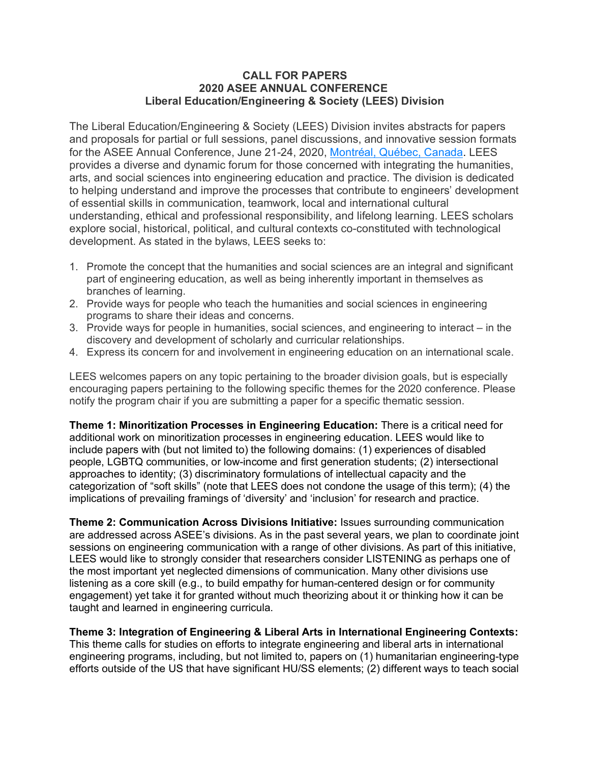## **CALL FOR PAPERS 2020 ASEE ANNUAL CONFERENCE Liberal Education/Engineering & Society (LEES) Division**

The Liberal Education/Engineering & Society (LEES) Division invites abstracts for papers and proposals for partial or full sessions, panel discussions, and innovative session formats for the ASEE Annual Conference, June 21-24, 2020, Montréal, Québec, Canada. LEES provides a diverse and dynamic forum for those concerned with integrating the humanities, arts, and social sciences into engineering education and practice. The division is dedicated to helping understand and improve the processes that contribute to engineers' development of essential skills in communication, teamwork, local and international cultural understanding, ethical and professional responsibility, and lifelong learning. LEES scholars explore social, historical, political, and cultural contexts co-constituted with technological development. As stated in the bylaws, LEES seeks to:

- 1. Promote the concept that the humanities and social sciences are an integral and significant part of engineering education, as well as being inherently important in themselves as branches of learning.
- 2. Provide ways for people who teach the humanities and social sciences in engineering programs to share their ideas and concerns.
- 3. Provide ways for people in humanities, social sciences, and engineering to interact in the discovery and development of scholarly and curricular relationships.
- 4. Express its concern for and involvement in engineering education on an international scale.

LEES welcomes papers on any topic pertaining to the broader division goals, but is especially encouraging papers pertaining to the following specific themes for the 2020 conference. Please notify the program chair if you are submitting a paper for a specific thematic session.

**Theme 1: Minoritization Processes in Engineering Education:** There is a critical need for additional work on minoritization processes in engineering education. LEES would like to include papers with (but not limited to) the following domains: (1) experiences of disabled people, LGBTQ communities, or low-income and first generation students; (2) intersectional approaches to identity; (3) discriminatory formulations of intellectual capacity and the categorization of "soft skills" (note that LEES does not condone the usage of this term); (4) the implications of prevailing framings of 'diversity' and 'inclusion' for research and practice.

**Theme 2: Communication Across Divisions Initiative:** Issues surrounding communication are addressed across ASEE's divisions. As in the past several years, we plan to coordinate joint sessions on engineering communication with a range of other divisions. As part of this initiative, LEES would like to strongly consider that researchers consider LISTENING as perhaps one of the most important yet neglected dimensions of communication. Many other divisions use listening as a core skill (e.g., to build empathy for human-centered design or for community engagement) yet take it for granted without much theorizing about it or thinking how it can be taught and learned in engineering curricula.

**Theme 3: Integration of Engineering & Liberal Arts in International Engineering Contexts:**  This theme calls for studies on efforts to integrate engineering and liberal arts in international engineering programs, including, but not limited to, papers on (1) humanitarian engineering-type efforts outside of the US that have significant HU/SS elements; (2) different ways to teach social